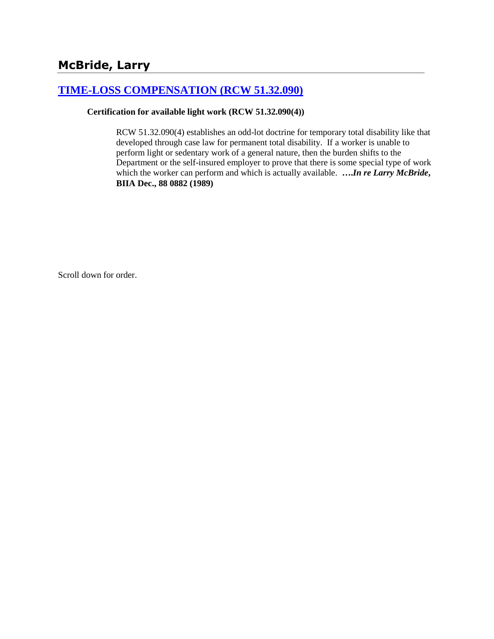# **[TIME-LOSS COMPENSATION \(RCW 51.32.090\)](http://www.biia.wa.gov/SDSubjectIndex.html#TIME_LOSS_COMPENSATION)**

#### **Certification for available light work (RCW 51.32.090(4))**

RCW 51.32.090(4) establishes an odd-lot doctrine for temporary total disability like that developed through case law for permanent total disability. If a worker is unable to perform light or sedentary work of a general nature, then the burden shifts to the Department or the self-insured employer to prove that there is some special type of work which the worker can perform and which is actually available. **….***In re Larry McBride***, BIIA Dec., 88 0882 (1989)** 

Scroll down for order.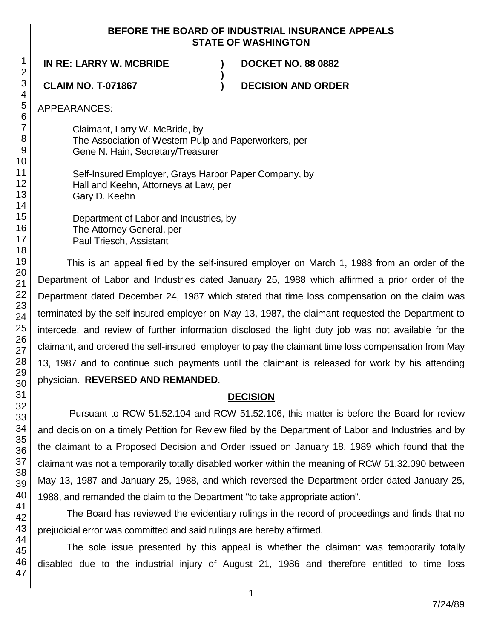#### **BEFORE THE BOARD OF INDUSTRIAL INSURANCE APPEALS STATE OF WASHINGTON**

**)**

**IN RE: LARRY W. MCBRIDE ) DOCKET NO. 88 0882**

**CLAIM NO. T-071867 ) DECISION AND ORDER**

APPEARANCES:

Claimant, Larry W. McBride, by The Association of Western Pulp and Paperworkers, per Gene N. Hain, Secretary/Treasurer

Self-Insured Employer, Grays Harbor Paper Company, by Hall and Keehn, Attorneys at Law, per Gary D. Keehn

Department of Labor and Industries, by The Attorney General, per Paul Triesch, Assistant

This is an appeal filed by the self-insured employer on March 1, 1988 from an order of the Department of Labor and Industries dated January 25, 1988 which affirmed a prior order of the Department dated December 24, 1987 which stated that time loss compensation on the claim was terminated by the self-insured employer on May 13, 1987, the claimant requested the Department to intercede, and review of further information disclosed the light duty job was not available for the claimant, and ordered the self-insured employer to pay the claimant time loss compensation from May 13, 1987 and to continue such payments until the claimant is released for work by his attending physician. **REVERSED AND REMANDED**.

## **DECISION**

Pursuant to RCW 51.52.104 and RCW 51.52.106, this matter is before the Board for review and decision on a timely Petition for Review filed by the Department of Labor and Industries and by the claimant to a Proposed Decision and Order issued on January 18, 1989 which found that the claimant was not a temporarily totally disabled worker within the meaning of RCW 51.32.090 between May 13, 1987 and January 25, 1988, and which reversed the Department order dated January 25, 1988, and remanded the claim to the Department "to take appropriate action".

The Board has reviewed the evidentiary rulings in the record of proceedings and finds that no prejudicial error was committed and said rulings are hereby affirmed.

The sole issue presented by this appeal is whether the claimant was temporarily totally disabled due to the industrial injury of August 21, 1986 and therefore entitled to time loss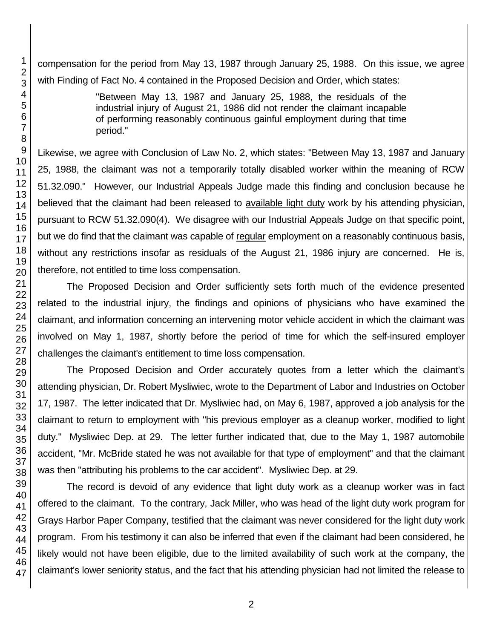compensation for the period from May 13, 1987 through January 25, 1988. On this issue, we agree with Finding of Fact No. 4 contained in the Proposed Decision and Order, which states:

> "Between May 13, 1987 and January 25, 1988, the residuals of the industrial injury of August 21, 1986 did not render the claimant incapable of performing reasonably continuous gainful employment during that time period."

Likewise, we agree with Conclusion of Law No. 2, which states: "Between May 13, 1987 and January 25, 1988, the claimant was not a temporarily totally disabled worker within the meaning of RCW 51.32.090." However, our Industrial Appeals Judge made this finding and conclusion because he believed that the claimant had been released to available light duty work by his attending physician, pursuant to RCW 51.32.090(4). We disagree with our Industrial Appeals Judge on that specific point, but we do find that the claimant was capable of regular employment on a reasonably continuous basis, without any restrictions insofar as residuals of the August 21, 1986 injury are concerned. He is, therefore, not entitled to time loss compensation.

The Proposed Decision and Order sufficiently sets forth much of the evidence presented related to the industrial injury, the findings and opinions of physicians who have examined the claimant, and information concerning an intervening motor vehicle accident in which the claimant was involved on May 1, 1987, shortly before the period of time for which the self-insured employer challenges the claimant's entitlement to time loss compensation.

The Proposed Decision and Order accurately quotes from a letter which the claimant's attending physician, Dr. Robert Mysliwiec, wrote to the Department of Labor and Industries on October 17, 1987. The letter indicated that Dr. Mysliwiec had, on May 6, 1987, approved a job analysis for the claimant to return to employment with "his previous employer as a cleanup worker, modified to light duty." Mysliwiec Dep. at 29. The letter further indicated that, due to the May 1, 1987 automobile accident, "Mr. McBride stated he was not available for that type of employment" and that the claimant was then "attributing his problems to the car accident". Mysliwiec Dep. at 29.

The record is devoid of any evidence that light duty work as a cleanup worker was in fact offered to the claimant. To the contrary, Jack Miller, who was head of the light duty work program for Grays Harbor Paper Company, testified that the claimant was never considered for the light duty work program. From his testimony it can also be inferred that even if the claimant had been considered, he likely would not have been eligible, due to the limited availability of such work at the company, the claimant's lower seniority status, and the fact that his attending physician had not limited the release to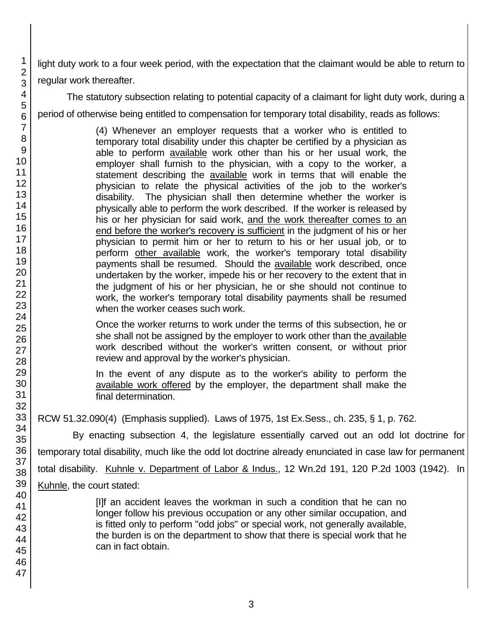light duty work to a four week period, with the expectation that the claimant would be able to return to regular work thereafter.

The statutory subsection relating to potential capacity of a claimant for light duty work, during a period of otherwise being entitled to compensation for temporary total disability, reads as follows:

> (4) Whenever an employer requests that a worker who is entitled to temporary total disability under this chapter be certified by a physician as able to perform available work other than his or her usual work, the employer shall furnish to the physician, with a copy to the worker, a statement describing the available work in terms that will enable the physician to relate the physical activities of the job to the worker's disability. The physician shall then determine whether the worker is physically able to perform the work described. If the worker is released by his or her physician for said work, and the work thereafter comes to an end before the worker's recovery is sufficient in the judgment of his or her physician to permit him or her to return to his or her usual job, or to perform other available work, the worker's temporary total disability payments shall be resumed. Should the available work described, once undertaken by the worker, impede his or her recovery to the extent that in the judgment of his or her physician, he or she should not continue to work, the worker's temporary total disability payments shall be resumed when the worker ceases such work.

Once the worker returns to work under the terms of this subsection, he or she shall not be assigned by the employer to work other than the available work described without the worker's written consent, or without prior review and approval by the worker's physician.

In the event of any dispute as to the worker's ability to perform the available work offered by the employer, the department shall make the final determination.

RCW 51.32.090(4) (Emphasis supplied). Laws of 1975, 1st Ex.Sess., ch. 235, § 1, p. 762.

By enacting subsection 4, the legislature essentially carved out an odd lot doctrine for temporary total disability, much like the odd lot doctrine already enunciated in case law for permanent total disability. Kuhnle v. Department of Labor & Indus., 12 Wn.2d 191, 120 P.2d 1003 (1942). In Kuhnle, the court stated:

> [I]f an accident leaves the workman in such a condition that he can no longer follow his previous occupation or any other similar occupation, and is fitted only to perform "odd jobs" or special work, not generally available, the burden is on the department to show that there is special work that he can in fact obtain.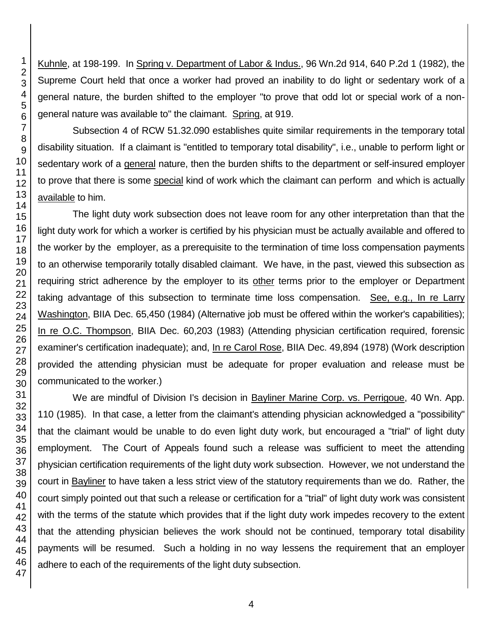Kuhnle, at 198-199. In Spring v. Department of Labor & Indus., 96 Wn.2d 914, 640 P.2d 1 (1982), the Supreme Court held that once a worker had proved an inability to do light or sedentary work of a general nature, the burden shifted to the employer "to prove that odd lot or special work of a nongeneral nature was available to" the claimant. Spring, at 919.

Subsection 4 of RCW 51.32.090 establishes quite similar requirements in the temporary total disability situation. If a claimant is "entitled to temporary total disability", i.e., unable to perform light or sedentary work of a general nature, then the burden shifts to the department or self-insured employer to prove that there is some special kind of work which the claimant can perform and which is actually available to him.

The light duty work subsection does not leave room for any other interpretation than that the light duty work for which a worker is certified by his physician must be actually available and offered to the worker by the employer, as a prerequisite to the termination of time loss compensation payments to an otherwise temporarily totally disabled claimant. We have, in the past, viewed this subsection as requiring strict adherence by the employer to its other terms prior to the employer or Department taking advantage of this subsection to terminate time loss compensation. See, e.g., In re Larry Washington, BIIA Dec. 65,450 (1984) (Alternative job must be offered within the worker's capabilities); In re O.C. Thompson, BIIA Dec. 60,203 (1983) (Attending physician certification required, forensic examiner's certification inadequate); and, In re Carol Rose, BIIA Dec. 49,894 (1978) (Work description provided the attending physician must be adequate for proper evaluation and release must be communicated to the worker.)

We are mindful of Division I's decision in Bayliner Marine Corp. vs. Perrigoue, 40 Wn. App. 110 (1985). In that case, a letter from the claimant's attending physician acknowledged a "possibility" that the claimant would be unable to do even light duty work, but encouraged a "trial" of light duty employment. The Court of Appeals found such a release was sufficient to meet the attending physician certification requirements of the light duty work subsection. However, we not understand the court in Bayliner to have taken a less strict view of the statutory requirements than we do. Rather, the court simply pointed out that such a release or certification for a "trial" of light duty work was consistent with the terms of the statute which provides that if the light duty work impedes recovery to the extent that the attending physician believes the work should not be continued, temporary total disability payments will be resumed. Such a holding in no way lessens the requirement that an employer adhere to each of the requirements of the light duty subsection.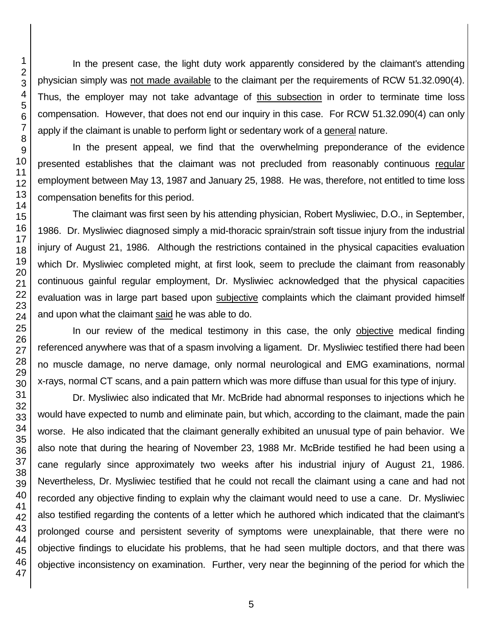In the present case, the light duty work apparently considered by the claimant's attending physician simply was not made available to the claimant per the requirements of RCW 51.32.090(4). Thus, the employer may not take advantage of this subsection in order to terminate time loss compensation. However, that does not end our inquiry in this case. For RCW 51.32.090(4) can only apply if the claimant is unable to perform light or sedentary work of a general nature.

In the present appeal, we find that the overwhelming preponderance of the evidence presented establishes that the claimant was not precluded from reasonably continuous regular employment between May 13, 1987 and January 25, 1988. He was, therefore, not entitled to time loss compensation benefits for this period.

The claimant was first seen by his attending physician, Robert Mysliwiec, D.O., in September, 1986. Dr. Mysliwiec diagnosed simply a mid-thoracic sprain/strain soft tissue injury from the industrial injury of August 21, 1986. Although the restrictions contained in the physical capacities evaluation which Dr. Mysliwiec completed might, at first look, seem to preclude the claimant from reasonably continuous gainful regular employment, Dr. Mysliwiec acknowledged that the physical capacities evaluation was in large part based upon subjective complaints which the claimant provided himself and upon what the claimant said he was able to do.

In our review of the medical testimony in this case, the only objective medical finding referenced anywhere was that of a spasm involving a ligament. Dr. Mysliwiec testified there had been no muscle damage, no nerve damage, only normal neurological and EMG examinations, normal x-rays, normal CT scans, and a pain pattern which was more diffuse than usual for this type of injury.

Dr. Mysliwiec also indicated that Mr. McBride had abnormal responses to injections which he would have expected to numb and eliminate pain, but which, according to the claimant, made the pain worse. He also indicated that the claimant generally exhibited an unusual type of pain behavior. We also note that during the hearing of November 23, 1988 Mr. McBride testified he had been using a cane regularly since approximately two weeks after his industrial injury of August 21, 1986. Nevertheless, Dr. Mysliwiec testified that he could not recall the claimant using a cane and had not recorded any objective finding to explain why the claimant would need to use a cane. Dr. Mysliwiec also testified regarding the contents of a letter which he authored which indicated that the claimant's prolonged course and persistent severity of symptoms were unexplainable, that there were no objective findings to elucidate his problems, that he had seen multiple doctors, and that there was objective inconsistency on examination. Further, very near the beginning of the period for which the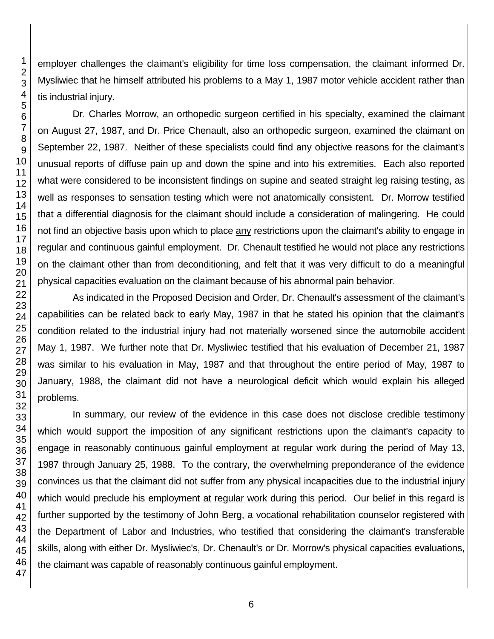tis industrial injury. As indicated in the Proposed Decision and Order, Dr. Chenault's assessment of the claimant's capabilities can be related back to early May, 1987 in that he stated his opinion that the claimant's condition related to the industrial injury had not materially worsened since the automobile accident May 1, 1987. We further note that Dr. Mysliwiec testified that his evaluation of December 21, 1987 was similar to his evaluation in May, 1987 and that throughout the entire period of May, 1987 to January, 1988, the claimant did not have a neurological deficit which would explain his alleged

In summary, our review of the evidence in this case does not disclose credible testimony which would support the imposition of any significant restrictions upon the claimant's capacity to engage in reasonably continuous gainful employment at regular work during the period of May 13, 1987 through January 25, 1988. To the contrary, the overwhelming preponderance of the evidence convinces us that the claimant did not suffer from any physical incapacities due to the industrial injury which would preclude his employment at regular work during this period. Our belief in this regard is further supported by the testimony of John Berg, a vocational rehabilitation counselor registered with the Department of Labor and Industries, who testified that considering the claimant's transferable skills, along with either Dr. Mysliwiec's, Dr. Chenault's or Dr. Morrow's physical capacities evaluations, the claimant was capable of reasonably continuous gainful employment.

employer challenges the claimant's eligibility for time loss compensation, the claimant informed Dr. Mysliwiec that he himself attributed his problems to a May 1, 1987 motor vehicle accident rather than

Dr. Charles Morrow, an orthopedic surgeon certified in his specialty, examined the claimant on August 27, 1987, and Dr. Price Chenault, also an orthopedic surgeon, examined the claimant on September 22, 1987. Neither of these specialists could find any objective reasons for the claimant's unusual reports of diffuse pain up and down the spine and into his extremities. Each also reported what were considered to be inconsistent findings on supine and seated straight leg raising testing, as well as responses to sensation testing which were not anatomically consistent. Dr. Morrow testified that a differential diagnosis for the claimant should include a consideration of malingering. He could not find an objective basis upon which to place any restrictions upon the claimant's ability to engage in regular and continuous gainful employment. Dr. Chenault testified he would not place any restrictions on the claimant other than from deconditioning, and felt that it was very difficult to do a meaningful physical capacities evaluation on the claimant because of his abnormal pain behavior.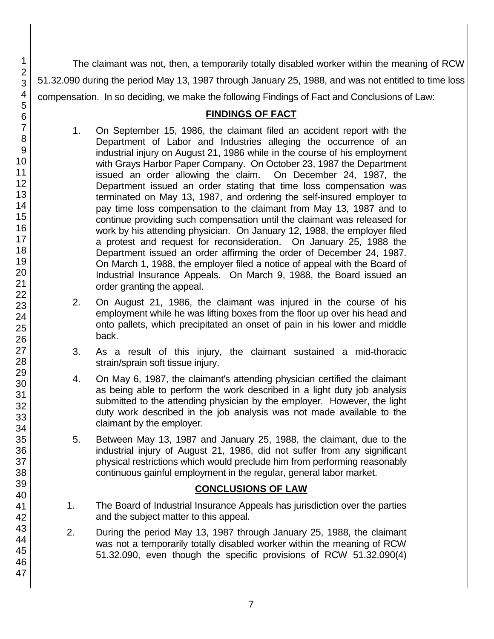The claimant was not, then, a temporarily totally disabled worker within the meaning of RCW 51.32.090 during the period May 13, 1987 through January 25, 1988, and was not entitled to time loss compensation. In so deciding, we make the following Findings of Fact and Conclusions of Law:

## **FINDINGS OF FACT**

- 1. On September 15, 1986, the claimant filed an accident report with the Department of Labor and Industries alleging the occurrence of an industrial injury on August 21, 1986 while in the course of his employment with Grays Harbor Paper Company. On October 23, 1987 the Department issued an order allowing the claim. On December 24, 1987, the Department issued an order stating that time loss compensation was terminated on May 13, 1987, and ordering the self-insured employer to pay time loss compensation to the claimant from May 13, 1987 and to continue providing such compensation until the claimant was released for work by his attending physician. On January 12, 1988, the employer filed a protest and request for reconsideration. On January 25, 1988 the Department issued an order affirming the order of December 24, 1987. On March 1, 1988, the employer filed a notice of appeal with the Board of Industrial Insurance Appeals. On March 9, 1988, the Board issued an order granting the appeal.
- 2. On August 21, 1986, the claimant was injured in the course of his employment while he was lifting boxes from the floor up over his head and onto pallets, which precipitated an onset of pain in his lower and middle back.
- 3. As a result of this injury, the claimant sustained a mid-thoracic strain/sprain soft tissue injury.
- 4. On May 6, 1987, the claimant's attending physician certified the claimant as being able to perform the work described in a light duty job analysis submitted to the attending physician by the employer. However, the light duty work described in the job analysis was not made available to the claimant by the employer.
- 5. Between May 13, 1987 and January 25, 1988, the claimant, due to the industrial injury of August 21, 1986, did not suffer from any significant physical restrictions which would preclude him from performing reasonably continuous gainful employment in the regular, general labor market.

## **CONCLUSIONS OF LAW**

- 1. The Board of Industrial Insurance Appeals has jurisdiction over the parties and the subject matter to this appeal.
- 2. During the period May 13, 1987 through January 25, 1988, the claimant was not a temporarily totally disabled worker within the meaning of RCW 51.32.090, even though the specific provisions of RCW 51.32.090(4)